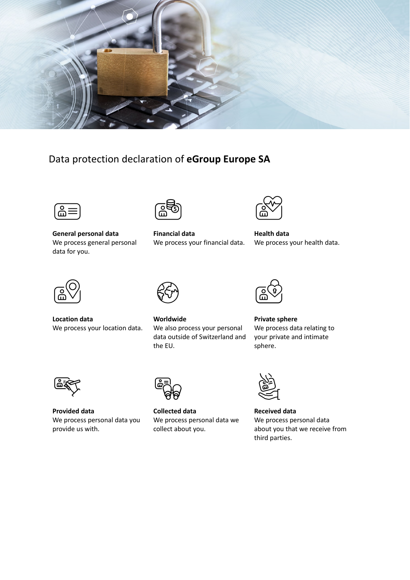

# Data protection declaration of **eGroup Europe SA**



**General personal data** We process general personal data for you.



**Financial data** We process your financial data.



**Health data** We process your health data.



**Location data** We process your location data.



**Worldwide** We also process your personal data outside of Switzerland and the EU.



**Private sphere** We process data relating to your private and intimate sphere.



**Provided data** We process personal data you provide us with.



**Collected data** We process personal data we collect about you.



**Received data** We process personal data about you that we receive from third parties.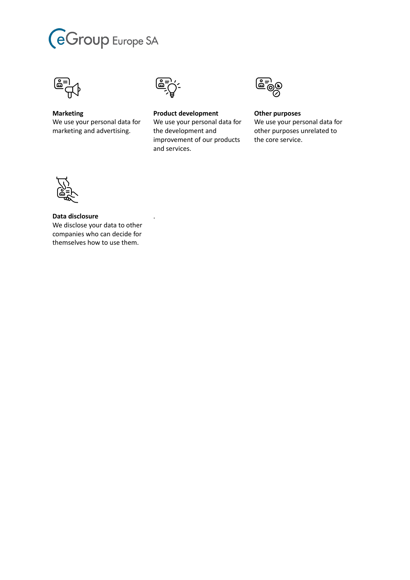



**Marketing** We use your personal data for marketing and advertising.



.

**Product development** We use your personal data for the development and improvement of our products and services.



**Other purposes** We use your personal data for other purposes unrelated to the core service.



**Data disclosure** We disclose your data to other companies who can decide for themselves how to use them.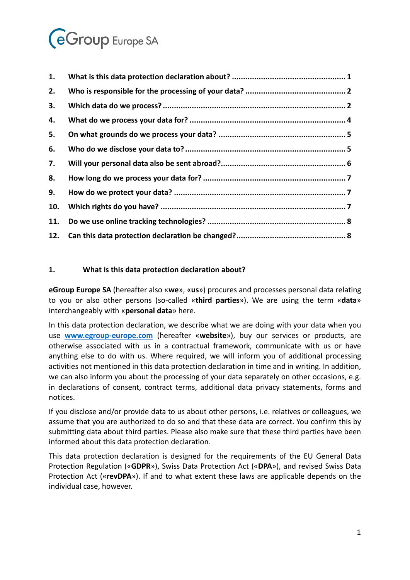# **eGroup** Europe SA

| 1.  |  |
|-----|--|
| 2.  |  |
| 3.  |  |
| 4.  |  |
| 5.  |  |
| 6.  |  |
| 7.  |  |
| 8.  |  |
| 9.  |  |
| 10. |  |
| 11. |  |
|     |  |

# <span id="page-2-0"></span>**1. What is this data protection declaration about?**

**eGroup Europe SA** (hereafter also «**we**», «**us**») procures and processes personal data relating to you or also other persons (so-called «**third parties**»). We are using the term «**data**» interchangeably with «**personal data**» here.

In this data protection declaration, we describe what we are doing with your data when you use **[www.egroup-europe.com](http://www.egroup-europe.com/)** (hereafter «**website**»), buy our services or products, are otherwise associated with us in a contractual framework, communicate with us or have anything else to do with us. Where required, we will inform you of additional processing activities not mentioned in this data protection declaration in time and in writing. In addition, we can also inform you about the processing of your data separately on other occasions, e.g. in declarations of consent, contract terms, additional data privacy statements, forms and notices.

If you disclose and/or provide data to us about other persons, i.e. relatives or colleagues, we assume that you are authorized to do so and that these data are correct. You confirm this by submitting data about third parties. Please also make sure that these third parties have been informed about this data protection declaration.

This data protection declaration is designed for the requirements of the EU General Data Protection Regulation («**GDPR**»), Swiss Data Protection Act («**DPA**»), and revised Swiss Data Protection Act («**revDPA**»). If and to what extent these laws are applicable depends on the individual case, however.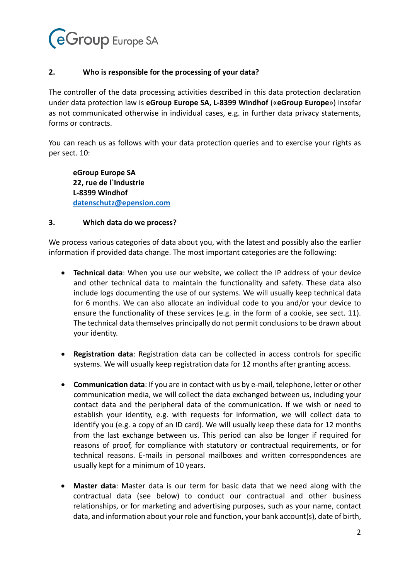

#### <span id="page-3-0"></span>**2. Who is responsible for the processing of your data?**

The controller of the data processing activities described in this data protection declaration under data protection law is **eGroup Europe SA, L-8399 Windhof** («**eGroup Europe**») insofar as not communicated otherwise in individual cases, e.g. in further data privacy statements, forms or contracts.

You can reach us as follows with your data protection queries and to exercise your rights as per sect. [10:](#page-8-2)

**eGroup Europe SA 22, rue de l`Industrie L-8399 Windhof [datenschutz@epension.com](mailto:datenschutz@epension.com)**

#### <span id="page-3-1"></span>**3. Which data do we process?**

We process various categories of data about you, with the latest and possibly also the earlier information if provided data change. The most important categories are the following:

- **Technical data**: When you use our website, we collect the IP address of your device and other technical data to maintain the functionality and safety. These data also include logs documenting the use of our systems. We will usually keep technical data for 6 months. We can also allocate an individual code to you and/or your device to ensure the functionality of these services (e.g. in the form of a cookie, see sect. [11\)](#page-9-0). The technical data themselves principally do not permit conclusions to be drawn about your identity.
- **Registration data**: Registration data can be collected in access controls for specific systems. We will usually keep registration data for 12 months after granting access.
- **Communication data**: If you are in contact with us by e-mail, telephone, letter or other communication media, we will collect the data exchanged between us, including your contact data and the peripheral data of the communication. If we wish or need to establish your identity, e.g. with requests for information, we will collect data to identify you (e.g. a copy of an ID card). We will usually keep these data for 12 months from the last exchange between us. This period can also be longer if required for reasons of proof, for compliance with statutory or contractual requirements, or for technical reasons. E-mails in personal mailboxes and written correspondences are usually kept for a minimum of 10 years.
- **Master data**: Master data is our term for basic data that we need along with the contractual data (see below) to conduct our contractual and other business relationships, or for marketing and advertising purposes, such as your name, contact data, and information about your role and function, your bank account(s), date of birth,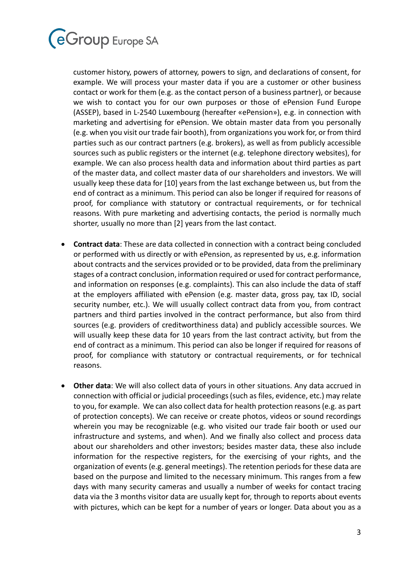

customer history, powers of attorney, powers to sign, and declarations of consent, for example. We will process your master data if you are a customer or other business contact or work for them (e.g. as the contact person of a business partner), or because we wish to contact you for our own purposes or those of ePension Fund Europe (ASSEP), based in L-2540 Luxembourg (hereafter «ePension»), e.g. in connection with marketing and advertising for ePension. We obtain master data from you personally (e.g. when you visit our trade fair booth), from organizations you work for, or from third parties such as our contract partners (e.g. brokers), as well as from publicly accessible sources such as public registers or the internet (e.g. telephone directory websites), for example. We can also process health data and information about third parties as part of the master data, and collect master data of our shareholders and investors. We will usually keep these data for [10] years from the last exchange between us, but from the end of contract as a minimum. This period can also be longer if required for reasons of proof, for compliance with statutory or contractual requirements, or for technical reasons. With pure marketing and advertising contacts, the period is normally much shorter, usually no more than [2] years from the last contact.

- **Contract data**: These are data collected in connection with a contract being concluded or performed with us directly or with ePension, as represented by us, e.g. information about contracts and the services provided or to be provided, data from the preliminary stages of a contract conclusion, information required or used for contract performance, and information on responses (e.g. complaints). This can also include the data of staff at the employers affiliated with ePension (e.g. master data, gross pay, tax ID, social security number, etc.). We will usually collect contract data from you, from contract partners and third parties involved in the contract performance, but also from third sources (e.g. providers of creditworthiness data) and publicly accessible sources. We will usually keep these data for 10 years from the last contract activity, but from the end of contract as a minimum. This period can also be longer if required for reasons of proof, for compliance with statutory or contractual requirements, or for technical reasons.
- **Other data**: We will also collect data of yours in other situations. Any data accrued in connection with official or judicial proceedings (such as files, evidence, etc.) may relate to you, for example. We can also collect data for health protection reasons (e.g. as part of protection concepts). We can receive or create photos, videos or sound recordings wherein you may be recognizable (e.g. who visited our trade fair booth or used our infrastructure and systems, and when). And we finally also collect and process data about our shareholders and other investors; besides master data, these also include information for the respective registers, for the exercising of your rights, and the organization of events (e.g. general meetings). The retention periods for these data are based on the purpose and limited to the necessary minimum. This ranges from a few days with many security cameras and usually a number of weeks for contact tracing data via the 3 months visitor data are usually kept for, through to reports about events with pictures, which can be kept for a number of years or longer. Data about you as a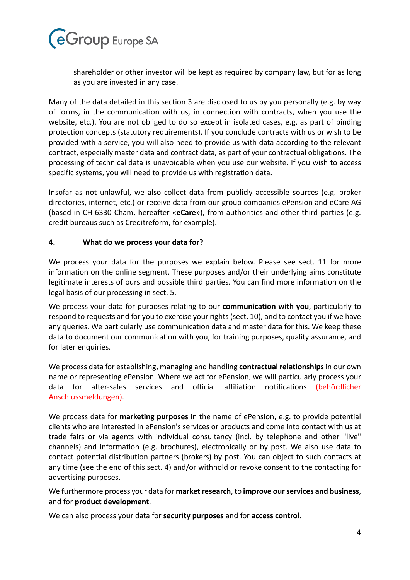

shareholder or other investor will be kept as required by company law, but for as long as you are invested in any case.

Many of the data detailed in this section [3](#page-3-1) are disclosed to us by you personally (e.g. by way of forms, in the communication with us, in connection with contracts, when you use the website, etc.). You are not obliged to do so except in isolated cases, e.g. as part of binding protection concepts (statutory requirements). If you conclude contracts with us or wish to be provided with a service, you will also need to provide us with data according to the relevant contract, especially master data and contract data, as part of your contractual obligations. The processing of technical data is unavoidable when you use our website. If you wish to access specific systems, you will need to provide us with registration data.

Insofar as not unlawful, we also collect data from publicly accessible sources (e.g. broker directories, internet, etc.) or receive data from our group companies ePension and eCare AG (based in CH-6330 Cham, hereafter «**eCare**»), from authorities and other third parties (e.g. credit bureaus such as Creditreform, for example).

#### <span id="page-5-0"></span>**4. What do we process your data for?**

We process your data for the purposes we explain below. Please see sect. [11](#page-9-0) for more information on the online segment. These purposes and/or their underlying aims constitute legitimate interests of ours and possible third parties. You can find more information on the legal basis of our processing in sect. [5.](#page-6-0)

We process your data for purposes relating to our **communication with you**, particularly to respond to requests and for you to exercise your rights (sect. [10\)](#page-8-2), and to contact you if we have any queries. We particularly use communication data and master data for this. We keep these data to document our communication with you, for training purposes, quality assurance, and for later enquiries.

We process data for establishing, managing and handling **contractual relationships** in our own name or representing ePension. Where we act for ePension, we will particularly process your data for after-sales services and official affiliation notifications (behördlicher Anschlussmeldungen).

We process data for **marketing purposes** in the name of ePension, e.g. to provide potential clients who are interested in ePension's services or products and come into contact with us at trade fairs or via agents with individual consultancy (incl. by telephone and other "live" channels) and information (e.g. brochures), electronically or by post. We also use data to contact potential distribution partners (brokers) by post. You can object to such contacts at any time (see the end of this sect. [4\)](#page-5-0) and/or withhold or revoke consent to the contacting for advertising purposes.

We furthermore process your data for **market research**, to **improve our services and business**, and for **product development**.

We can also process your data for **security purposes** and for **access control**.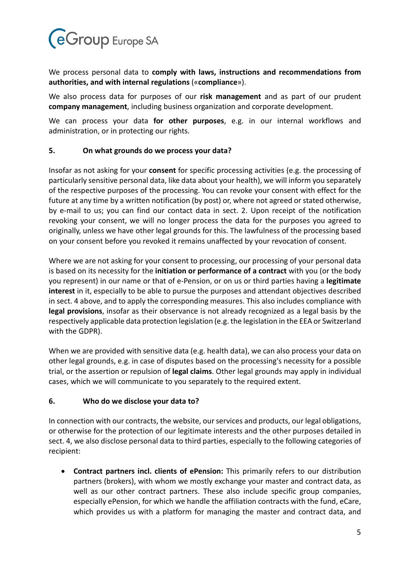

We process personal data to **comply with laws, instructions and recommendations from authorities, and with internal regulations** («**compliance**»).

We also process data for purposes of our **risk management** and as part of our prudent **company management**, including business organization and corporate development.

We can process your data **for other purposes**, e.g. in our internal workflows and administration, or in protecting our rights.

#### <span id="page-6-0"></span>**5. On what grounds do we process your data?**

Insofar as not asking for your **consent** for specific processing activities (e.g. the processing of particularly sensitive personal data, like data about your health), we will inform you separately of the respective purposes of the processing. You can revoke your consent with effect for the future at any time by a written notification (by post) or, where not agreed or stated otherwise, by e-mail to us; you can find our contact data in sect. [2.](#page-3-0) Upon receipt of the notification revoking your consent, we will no longer process the data for the purposes you agreed to originally, unless we have other legal grounds for this. The lawfulness of the processing based on your consent before you revoked it remains unaffected by your revocation of consent.

Where we are not asking for your consent to processing, our processing of your personal data is based on its necessity for the **initiation or performance of a contract** with you (or the body you represent) in our name or that of e-Pension, or on us or third parties having a **legitimate interest** in it, especially to be able to pursue the purposes and attendant objectives described in sect[. 4](#page-5-0) above, and to apply the corresponding measures. This also includes compliance with **legal provisions**, insofar as their observance is not already recognized as a legal basis by the respectively applicable data protection legislation (e.g. the legislation in the EEA or Switzerland with the GDPR).

When we are provided with sensitive data (e.g. health data), we can also process your data on other legal grounds, e.g. in case of disputes based on the processing's necessity for a possible trial, or the assertion or repulsion of **legal claims**. Other legal grounds may apply in individual cases, which we will communicate to you separately to the required extent.

# <span id="page-6-1"></span>**6. Who do we disclose your data to?**

In connection with our contracts, the website, our services and products, our legal obligations, or otherwise for the protection of our legitimate interests and the other purposes detailed in sect. [4,](#page-5-0) we also disclose personal data to third parties, especially to the following categories of recipient:

• **Contract partners incl. clients of ePension:** This primarily refers to our distribution partners (brokers), with whom we mostly exchange your master and contract data, as well as our other contract partners. These also include specific group companies, especially ePension, for which we handle the affiliation contracts with the fund, eCare, which provides us with a platform for managing the master and contract data, and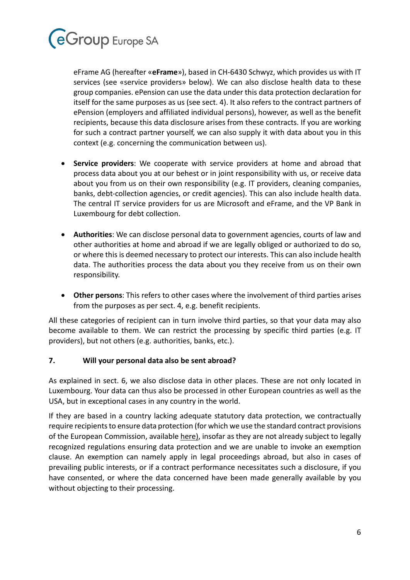

eFrame AG (hereafter «**eFrame**»), based in CH-6430 Schwyz, which provides us with IT services (see «service providers» below). We can also disclose health data to these group companies. ePension can use the data under this data protection declaration for itself for the same purposes as us (see sect. [4\)](#page-5-0). It also refers to the contract partners of ePension (employers and affiliated individual persons), however, as well as the benefit recipients, because this data disclosure arises from these contracts. If you are working for such a contract partner yourself, we can also supply it with data about you in this context (e.g. concerning the communication between us).

- **Service providers**: We cooperate with service providers at home and abroad that process data about you at our behest or in joint responsibility with us, or receive data about you from us on their own responsibility (e.g. IT providers, cleaning companies, banks, debt-collection agencies, or credit agencies). This can also include health data. The central IT service providers for us are Microsoft and eFrame, and the VP Bank in Luxembourg for debt collection.
- **Authorities**: We can disclose personal data to government agencies, courts of law and other authorities at home and abroad if we are legally obliged or authorized to do so, or where this is deemed necessary to protect our interests. This can also include health data. The authorities process the data about you they receive from us on their own responsibility.
- **Other persons**: This refers to other cases where the involvement of third parties arises from the purposes as per sect. [4,](#page-5-0) e.g. benefit recipients.

All these categories of recipient can in turn involve third parties, so that your data may also become available to them. We can restrict the processing by specific third parties (e.g. IT providers), but not others (e.g. authorities, banks, etc.).

# <span id="page-7-0"></span>**7. Will your personal data also be sent abroad?**

As explained in sect. [6,](#page-6-1) we also disclose data in other places. These are not only located in Luxembourg. Your data can thus also be processed in other European countries as well as the USA, but in exceptional cases in any country in the world.

If they are based in a country lacking adequate statutory data protection, we contractually require recipients to ensure data protection (for which we use the standard contract provisions of the European Commission, available [here\)](http://eur-lex.europa.eu/LexUriServ/LexUriServ.do?uri=OJ:L:2010:039:0005:0018:DE:PDF), insofar as they are not already subject to legally recognized regulations ensuring data protection and we are unable to invoke an exemption clause. An exemption can namely apply in legal proceedings abroad, but also in cases of prevailing public interests, or if a contract performance necessitates such a disclosure, if you have consented, or where the data concerned have been made generally available by you without objecting to their processing.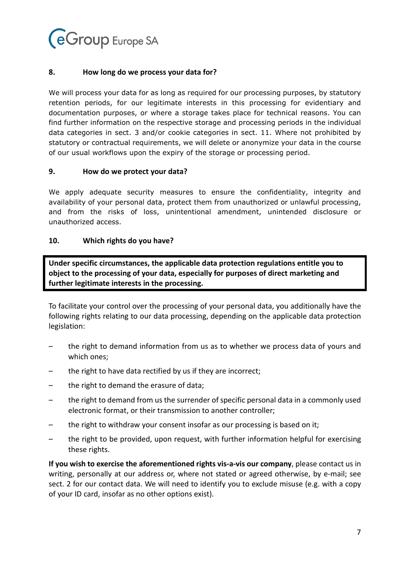

#### <span id="page-8-0"></span>**8. How long do we process your data for?**

We will process your data for as long as required for our processing purposes, by statutory retention periods, for our legitimate interests in this processing for evidentiary and documentation purposes, or where a storage takes place for technical reasons. You can find further information on the respective storage and processing periods in the individual data categories in sect. [3](#page-3-1) and/or cookie categories in sect. [11.](#page-9-0) Where not prohibited by statutory or contractual requirements, we will delete or anonymize your data in the course of our usual workflows upon the expiry of the storage or processing period.

#### <span id="page-8-1"></span>**9. How do we protect your data?**

We apply adequate security measures to ensure the confidentiality, integrity and availability of your personal data, protect them from unauthorized or unlawful processing, and from the risks of loss, unintentional amendment, unintended disclosure or unauthorized access.

#### <span id="page-8-2"></span>**10. Which rights do you have?**

**Under specific circumstances, the applicable data protection regulations entitle you to object to the processing of your data, especially for purposes of direct marketing and further legitimate interests in the processing.**

To facilitate your control over the processing of your personal data, you additionally have the following rights relating to our data processing, depending on the applicable data protection legislation:

- the right to demand information from us as to whether we process data of yours and which ones;
- the right to have data rectified by us if they are incorrect;
- the right to demand the erasure of data;
- the right to demand from us the surrender of specific personal data in a commonly used electronic format, or their transmission to another controller;
- the right to withdraw your consent insofar as our processing is based on it;
- the right to be provided, upon request, with further information helpful for exercising these rights.

**If you wish to exercise the aforementioned rights vis-a-vis our company**, please contact us in writing, personally at our address or, where not stated or agreed otherwise, by e-mail; see sect. [2](#page-3-0) for our contact data. We will need to identify you to exclude misuse (e.g. with a copy of your ID card, insofar as no other options exist).